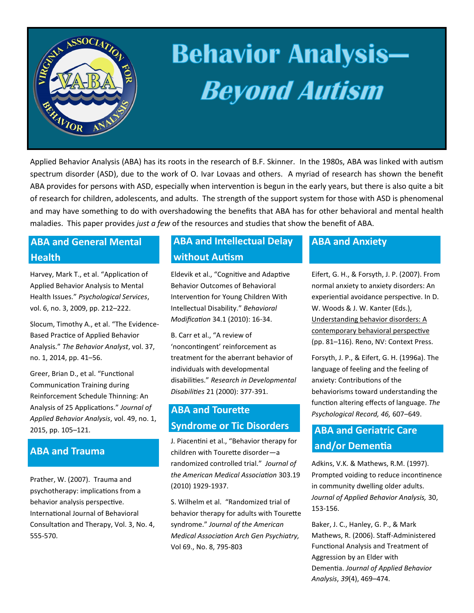

# **Behavior Analysis-Beyond Autism**

Applied Behavior Analysis (ABA) has its roots in the research of B.F. Skinner. In the 1980s, ABA was linked with autism spectrum disorder (ASD), due to the work of O. Ivar Lovaas and others. A myriad of research has shown the benefit ABA provides for persons with ASD, especially when intervention is begun in the early years, but there is also quite a bit of research for children, adolescents, and adults. The strength of the support system for those with ASD is phenomenal and may have something to do with overshadowing the benefits that ABA has for other behavioral and mental health maladies. This paper provides *just a few* of the resources and studies that show the benefit of ABA.

### **ABA and General Mental Health**

Harvey, Mark T., et al. "Application of Applied Behavior Analysis to Mental Health Issues." *Psychological Services*, vol. 6, no. 3, 2009, pp. 212–222.

Slocum, Timothy A., et al. "The Evidence-Based Practice of Applied Behavior Analysis." *The Behavior Analyst*, vol. 37, no. 1, 2014, pp. 41–56.

Greer, Brian D., et al. "Functional Communication Training during Reinforcement Schedule Thinning: An Analysis of 25 Applications." *Journal of Applied Behavior Analysis*, vol. 49, no. 1, 2015, pp. 105–121.

#### **ABA and Trauma**

Prather, W. (2007). Trauma and psychotherapy: implications from a behavior analysis perspective. International Journal of Behavioral Consultation and Therapy, Vol. 3, No. 4, 555-570.

#### **ABA and Intellectual Delay without Autism**

Eldevik et al., "Cognitive and Adaptive Behavior Outcomes of Behavioral Intervention for Young Children With Intellectual Disability." *Behavioral Modification* 34.1 (2010): 16-34.

B. Carr et al., "A review of 'noncontingent' reinforcement as treatment for the aberrant behavior of individuals with developmental disabilities." *Research in Developmental Disabilities* 21 (2000): 377-391.

#### **ABA and Tourette Syndrome or Tic Disorders**

J. Piacentini et al., "Behavior therapy for children with Tourette disorder—a randomized controlled trial." *Journal of the American Medical Association* 303.19 (2010) 1929-1937.

S. Wilhelm et al. "Randomized trial of behavior therapy for adults with Tourette syndrome." *Journal of the American Medical Association Arch Gen Psychiatry,*  Vol 69., No. 8, 795-803

#### **ABA and Anxiety**

Eifert, G. H., & Forsyth, J. P. (2007). From normal anxiety to anxiety disorders: An experiential avoidance perspective. In D. W. Woods & J. W. Kanter (Eds.), Understanding behavior disorders: A contemporary behavioral perspective (pp. 81–116). Reno, NV: Context Press.

Forsyth, J. P., & Eifert, G. H. (1996a). The language of feeling and the feeling of anxiety: Contributions of the behaviorisms toward understanding the function altering effects of language. *The Psychological Record, 46,* 607–649.

#### **ABA and Geriatric Care and/or Dementia**

Adkins, V.K. & Mathews, R.M. (1997). Prompted voiding to reduce incontinence in community dwelling older adults. *Journal of Applied Behavior Analysis,* 30, 153-156.

Baker, J. C., Hanley, G. P., & Mark Mathews, R. (2006). Staff-Administered Functional Analysis and Treatment of Aggression by an Elder with Dementia. *Journal of Applied Behavior Analysis*, *39*(4), 469–474.